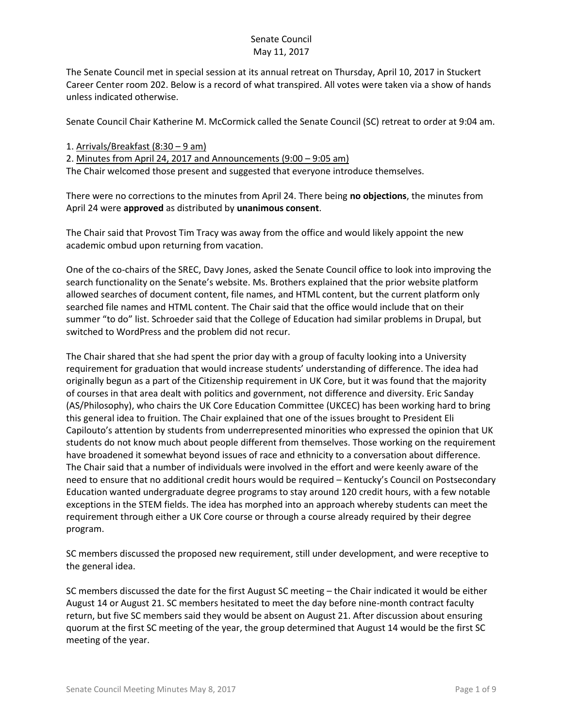The Senate Council met in special session at its annual retreat on Thursday, April 10, 2017 in Stuckert Career Center room 202. Below is a record of what transpired. All votes were taken via a show of hands unless indicated otherwise.

Senate Council Chair Katherine M. McCormick called the Senate Council (SC) retreat to order at 9:04 am.

1. Arrivals/Breakfast (8:30 – 9 am)

2. Minutes from April 24, 2017 and Announcements (9:00 – 9:05 am) The Chair welcomed those present and suggested that everyone introduce themselves.

There were no corrections to the minutes from April 24. There being **no objections**, the minutes from April 24 were **approved** as distributed by **unanimous consent**.

The Chair said that Provost Tim Tracy was away from the office and would likely appoint the new academic ombud upon returning from vacation.

One of the co-chairs of the SREC, Davy Jones, asked the Senate Council office to look into improving the search functionality on the Senate's website. Ms. Brothers explained that the prior website platform allowed searches of document content, file names, and HTML content, but the current platform only searched file names and HTML content. The Chair said that the office would include that on their summer "to do" list. Schroeder said that the College of Education had similar problems in Drupal, but switched to WordPress and the problem did not recur.

The Chair shared that she had spent the prior day with a group of faculty looking into a University requirement for graduation that would increase students' understanding of difference. The idea had originally begun as a part of the Citizenship requirement in UK Core, but it was found that the majority of courses in that area dealt with politics and government, not difference and diversity. Eric Sanday (AS/Philosophy), who chairs the UK Core Education Committee (UKCEC) has been working hard to bring this general idea to fruition. The Chair explained that one of the issues brought to President Eli Capilouto's attention by students from underrepresented minorities who expressed the opinion that UK students do not know much about people different from themselves. Those working on the requirement have broadened it somewhat beyond issues of race and ethnicity to a conversation about difference. The Chair said that a number of individuals were involved in the effort and were keenly aware of the need to ensure that no additional credit hours would be required – Kentucky's Council on Postsecondary Education wanted undergraduate degree programs to stay around 120 credit hours, with a few notable exceptions in the STEM fields. The idea has morphed into an approach whereby students can meet the requirement through either a UK Core course or through a course already required by their degree program.

SC members discussed the proposed new requirement, still under development, and were receptive to the general idea.

SC members discussed the date for the first August SC meeting – the Chair indicated it would be either August 14 or August 21. SC members hesitated to meet the day before nine-month contract faculty return, but five SC members said they would be absent on August 21. After discussion about ensuring quorum at the first SC meeting of the year, the group determined that August 14 would be the first SC meeting of the year.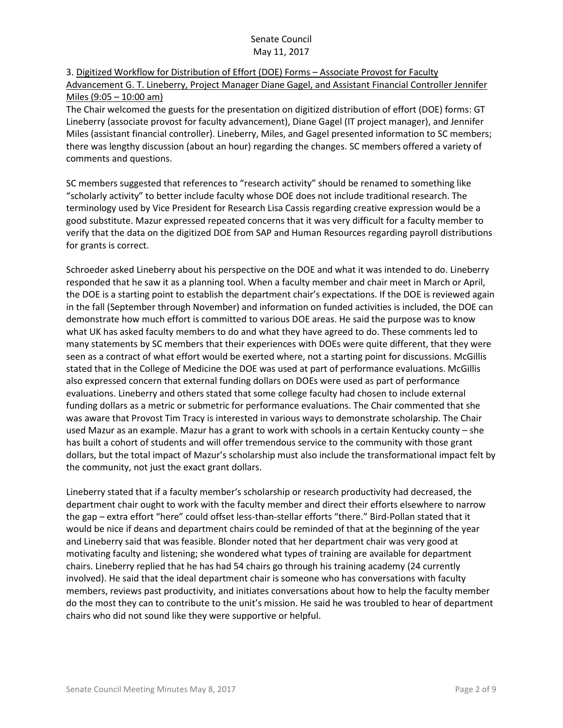# 3. Digitized Workflow for Distribution of Effort (DOE) Forms – Associate Provost for Faculty Advancement G. T. Lineberry, Project Manager Diane Gagel, and Assistant Financial Controller Jennifer Miles (9:05 – 10:00 am)

The Chair welcomed the guests for the presentation on digitized distribution of effort (DOE) forms: GT Lineberry (associate provost for faculty advancement), Diane Gagel (IT project manager), and Jennifer Miles (assistant financial controller). Lineberry, Miles, and Gagel presented information to SC members; there was lengthy discussion (about an hour) regarding the changes. SC members offered a variety of comments and questions.

SC members suggested that references to "research activity" should be renamed to something like "scholarly activity" to better include faculty whose DOE does not include traditional research. The terminology used by Vice President for Research Lisa Cassis regarding creative expression would be a good substitute. Mazur expressed repeated concerns that it was very difficult for a faculty member to verify that the data on the digitized DOE from SAP and Human Resources regarding payroll distributions for grants is correct.

Schroeder asked Lineberry about his perspective on the DOE and what it was intended to do. Lineberry responded that he saw it as a planning tool. When a faculty member and chair meet in March or April, the DOE is a starting point to establish the department chair's expectations. If the DOE is reviewed again in the fall (September through November) and information on funded activities is included, the DOE can demonstrate how much effort is committed to various DOE areas. He said the purpose was to know what UK has asked faculty members to do and what they have agreed to do. These comments led to many statements by SC members that their experiences with DOEs were quite different, that they were seen as a contract of what effort would be exerted where, not a starting point for discussions. McGillis stated that in the College of Medicine the DOE was used at part of performance evaluations. McGillis also expressed concern that external funding dollars on DOEs were used as part of performance evaluations. Lineberry and others stated that some college faculty had chosen to include external funding dollars as a metric or submetric for performance evaluations. The Chair commented that she was aware that Provost Tim Tracy is interested in various ways to demonstrate scholarship. The Chair used Mazur as an example. Mazur has a grant to work with schools in a certain Kentucky county – she has built a cohort of students and will offer tremendous service to the community with those grant dollars, but the total impact of Mazur's scholarship must also include the transformational impact felt by the community, not just the exact grant dollars.

Lineberry stated that if a faculty member's scholarship or research productivity had decreased, the department chair ought to work with the faculty member and direct their efforts elsewhere to narrow the gap – extra effort "here" could offset less-than-stellar efforts "there." Bird-Pollan stated that it would be nice if deans and department chairs could be reminded of that at the beginning of the year and Lineberry said that was feasible. Blonder noted that her department chair was very good at motivating faculty and listening; she wondered what types of training are available for department chairs. Lineberry replied that he has had 54 chairs go through his training academy (24 currently involved). He said that the ideal department chair is someone who has conversations with faculty members, reviews past productivity, and initiates conversations about how to help the faculty member do the most they can to contribute to the unit's mission. He said he was troubled to hear of department chairs who did not sound like they were supportive or helpful.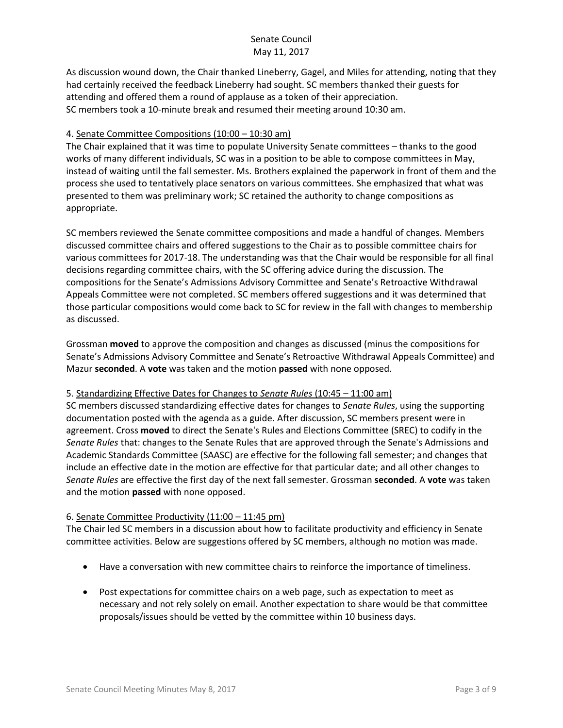As discussion wound down, the Chair thanked Lineberry, Gagel, and Miles for attending, noting that they had certainly received the feedback Lineberry had sought. SC members thanked their guests for attending and offered them a round of applause as a token of their appreciation. SC members took a 10-minute break and resumed their meeting around 10:30 am.

### 4. Senate Committee Compositions (10:00 – 10:30 am)

The Chair explained that it was time to populate University Senate committees – thanks to the good works of many different individuals, SC was in a position to be able to compose committees in May, instead of waiting until the fall semester. Ms. Brothers explained the paperwork in front of them and the process she used to tentatively place senators on various committees. She emphasized that what was presented to them was preliminary work; SC retained the authority to change compositions as appropriate.

SC members reviewed the Senate committee compositions and made a handful of changes. Members discussed committee chairs and offered suggestions to the Chair as to possible committee chairs for various committees for 2017-18. The understanding was that the Chair would be responsible for all final decisions regarding committee chairs, with the SC offering advice during the discussion. The compositions for the Senate's Admissions Advisory Committee and Senate's Retroactive Withdrawal Appeals Committee were not completed. SC members offered suggestions and it was determined that those particular compositions would come back to SC for review in the fall with changes to membership as discussed.

Grossman **moved** to approve the composition and changes as discussed (minus the compositions for Senate's Admissions Advisory Committee and Senate's Retroactive Withdrawal Appeals Committee) and Mazur **seconded**. A **vote** was taken and the motion **passed** with none opposed.

### 5. Standardizing Effective Dates for Changes to *Senate Rules* (10:45 – 11:00 am)

SC members discussed standardizing effective dates for changes to *Senate Rules*, using the supporting documentation posted with the agenda as a guide. After discussion, SC members present were in agreement. Cross **moved** to direct the Senate's Rules and Elections Committee (SREC) to codify in the *Senate Rules* that: changes to the Senate Rules that are approved through the Senate's Admissions and Academic Standards Committee (SAASC) are effective for the following fall semester; and changes that include an effective date in the motion are effective for that particular date; and all other changes to *Senate Rules* are effective the first day of the next fall semester. Grossman **seconded**. A **vote** was taken and the motion **passed** with none opposed.

### 6. Senate Committee Productivity (11:00 – 11:45 pm)

The Chair led SC members in a discussion about how to facilitate productivity and efficiency in Senate committee activities. Below are suggestions offered by SC members, although no motion was made.

- Have a conversation with new committee chairs to reinforce the importance of timeliness.
- Post expectations for committee chairs on a web page, such as expectation to meet as necessary and not rely solely on email. Another expectation to share would be that committee proposals/issues should be vetted by the committee within 10 business days.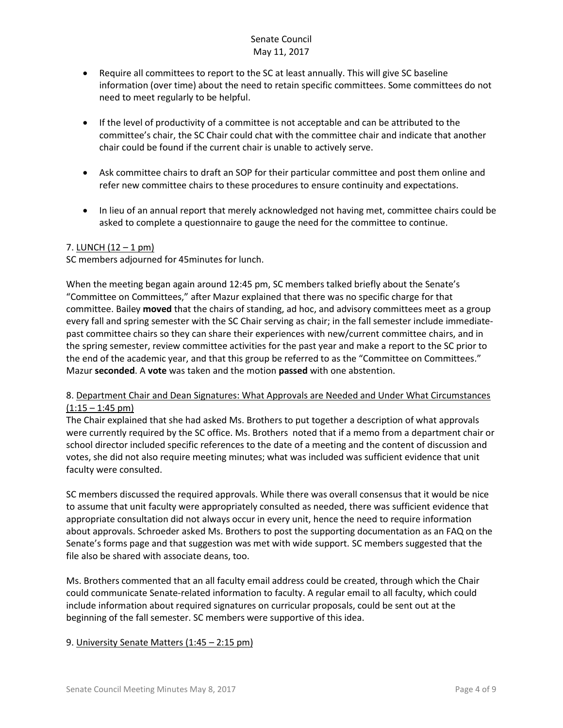- Require all committees to report to the SC at least annually. This will give SC baseline information (over time) about the need to retain specific committees. Some committees do not need to meet regularly to be helpful.
- If the level of productivity of a committee is not acceptable and can be attributed to the committee's chair, the SC Chair could chat with the committee chair and indicate that another chair could be found if the current chair is unable to actively serve.
- Ask committee chairs to draft an SOP for their particular committee and post them online and refer new committee chairs to these procedures to ensure continuity and expectations.
- In lieu of an annual report that merely acknowledged not having met, committee chairs could be asked to complete a questionnaire to gauge the need for the committee to continue.

### 7. LUNCH  $(12 - 1 \text{ pm})$

SC members adjourned for 45minutes for lunch.

When the meeting began again around 12:45 pm, SC members talked briefly about the Senate's "Committee on Committees," after Mazur explained that there was no specific charge for that committee. Bailey **moved** that the chairs of standing, ad hoc, and advisory committees meet as a group every fall and spring semester with the SC Chair serving as chair; in the fall semester include immediatepast committee chairs so they can share their experiences with new/current committee chairs, and in the spring semester, review committee activities for the past year and make a report to the SC prior to the end of the academic year, and that this group be referred to as the "Committee on Committees." Mazur **seconded**. A **vote** was taken and the motion **passed** with one abstention.

## 8. Department Chair and Dean Signatures: What Approvals are Needed and Under What Circumstances  $(1:15 - 1:45)$  pm)

The Chair explained that she had asked Ms. Brothers to put together a description of what approvals were currently required by the SC office. Ms. Brothers noted that if a memo from a department chair or school director included specific references to the date of a meeting and the content of discussion and votes, she did not also require meeting minutes; what was included was sufficient evidence that unit faculty were consulted.

SC members discussed the required approvals. While there was overall consensus that it would be nice to assume that unit faculty were appropriately consulted as needed, there was sufficient evidence that appropriate consultation did not always occur in every unit, hence the need to require information about approvals. Schroeder asked Ms. Brothers to post the supporting documentation as an FAQ on the Senate's forms page and that suggestion was met with wide support. SC members suggested that the file also be shared with associate deans, too.

Ms. Brothers commented that an all faculty email address could be created, through which the Chair could communicate Senate-related information to faculty. A regular email to all faculty, which could include information about required signatures on curricular proposals, could be sent out at the beginning of the fall semester. SC members were supportive of this idea.

### 9. University Senate Matters (1:45 – 2:15 pm)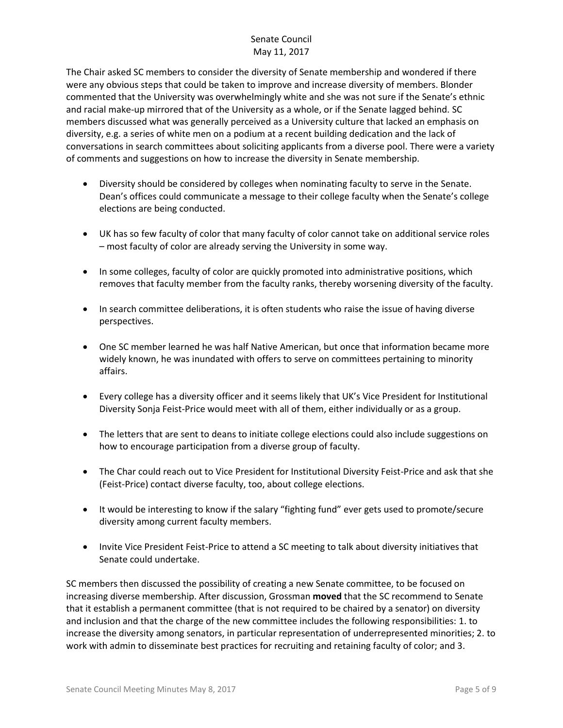The Chair asked SC members to consider the diversity of Senate membership and wondered if there were any obvious steps that could be taken to improve and increase diversity of members. Blonder commented that the University was overwhelmingly white and she was not sure if the Senate's ethnic and racial make-up mirrored that of the University as a whole, or if the Senate lagged behind. SC members discussed what was generally perceived as a University culture that lacked an emphasis on diversity, e.g. a series of white men on a podium at a recent building dedication and the lack of conversations in search committees about soliciting applicants from a diverse pool. There were a variety of comments and suggestions on how to increase the diversity in Senate membership.

- Diversity should be considered by colleges when nominating faculty to serve in the Senate. Dean's offices could communicate a message to their college faculty when the Senate's college elections are being conducted.
- UK has so few faculty of color that many faculty of color cannot take on additional service roles – most faculty of color are already serving the University in some way.
- In some colleges, faculty of color are quickly promoted into administrative positions, which removes that faculty member from the faculty ranks, thereby worsening diversity of the faculty.
- In search committee deliberations, it is often students who raise the issue of having diverse perspectives.
- One SC member learned he was half Native American, but once that information became more widely known, he was inundated with offers to serve on committees pertaining to minority affairs.
- Every college has a diversity officer and it seems likely that UK's Vice President for Institutional Diversity Sonja Feist-Price would meet with all of them, either individually or as a group.
- The letters that are sent to deans to initiate college elections could also include suggestions on how to encourage participation from a diverse group of faculty.
- The Char could reach out to Vice President for Institutional Diversity Feist-Price and ask that she (Feist-Price) contact diverse faculty, too, about college elections.
- It would be interesting to know if the salary "fighting fund" ever gets used to promote/secure diversity among current faculty members.
- Invite Vice President Feist-Price to attend a SC meeting to talk about diversity initiatives that Senate could undertake.

SC members then discussed the possibility of creating a new Senate committee, to be focused on increasing diverse membership. After discussion, Grossman **moved** that the SC recommend to Senate that it establish a permanent committee (that is not required to be chaired by a senator) on diversity and inclusion and that the charge of the new committee includes the following responsibilities: 1. to increase the diversity among senators, in particular representation of underrepresented minorities; 2. to work with admin to disseminate best practices for recruiting and retaining faculty of color; and 3.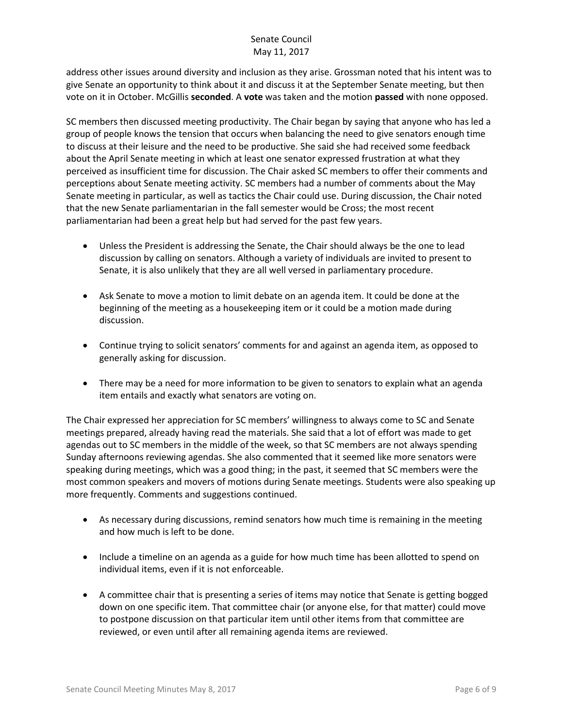address other issues around diversity and inclusion as they arise. Grossman noted that his intent was to give Senate an opportunity to think about it and discuss it at the September Senate meeting, but then vote on it in October. McGillis **seconded**. A **vote** was taken and the motion **passed** with none opposed.

SC members then discussed meeting productivity. The Chair began by saying that anyone who has led a group of people knows the tension that occurs when balancing the need to give senators enough time to discuss at their leisure and the need to be productive. She said she had received some feedback about the April Senate meeting in which at least one senator expressed frustration at what they perceived as insufficient time for discussion. The Chair asked SC members to offer their comments and perceptions about Senate meeting activity. SC members had a number of comments about the May Senate meeting in particular, as well as tactics the Chair could use. During discussion, the Chair noted that the new Senate parliamentarian in the fall semester would be Cross; the most recent parliamentarian had been a great help but had served for the past few years.

- Unless the President is addressing the Senate, the Chair should always be the one to lead discussion by calling on senators. Although a variety of individuals are invited to present to Senate, it is also unlikely that they are all well versed in parliamentary procedure.
- Ask Senate to move a motion to limit debate on an agenda item. It could be done at the beginning of the meeting as a housekeeping item or it could be a motion made during discussion.
- Continue trying to solicit senators' comments for and against an agenda item, as opposed to generally asking for discussion.
- There may be a need for more information to be given to senators to explain what an agenda item entails and exactly what senators are voting on.

The Chair expressed her appreciation for SC members' willingness to always come to SC and Senate meetings prepared, already having read the materials. She said that a lot of effort was made to get agendas out to SC members in the middle of the week, so that SC members are not always spending Sunday afternoons reviewing agendas. She also commented that it seemed like more senators were speaking during meetings, which was a good thing; in the past, it seemed that SC members were the most common speakers and movers of motions during Senate meetings. Students were also speaking up more frequently. Comments and suggestions continued.

- As necessary during discussions, remind senators how much time is remaining in the meeting and how much is left to be done.
- Include a timeline on an agenda as a guide for how much time has been allotted to spend on individual items, even if it is not enforceable.
- A committee chair that is presenting a series of items may notice that Senate is getting bogged down on one specific item. That committee chair (or anyone else, for that matter) could move to postpone discussion on that particular item until other items from that committee are reviewed, or even until after all remaining agenda items are reviewed.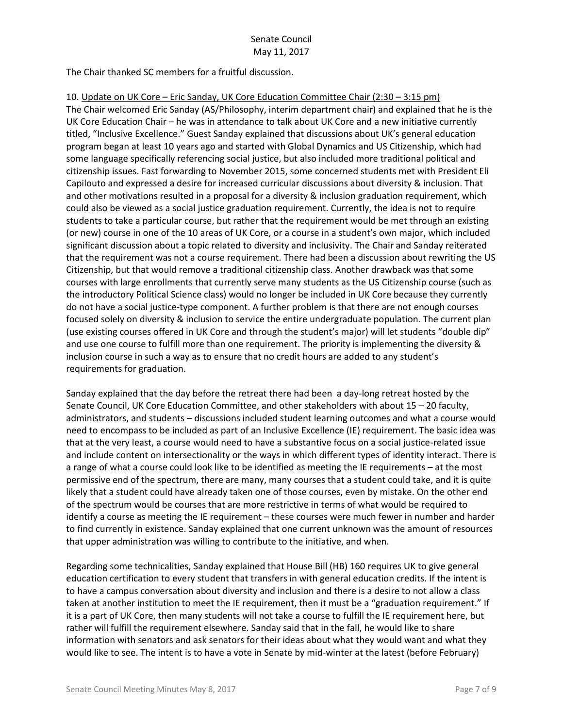The Chair thanked SC members for a fruitful discussion.

### 10. Update on UK Core – Eric Sanday, UK Core Education Committee Chair (2:30 – 3:15 pm)

The Chair welcomed Eric Sanday (AS/Philosophy, interim department chair) and explained that he is the UK Core Education Chair – he was in attendance to talk about UK Core and a new initiative currently titled, "Inclusive Excellence." Guest Sanday explained that discussions about UK's general education program began at least 10 years ago and started with Global Dynamics and US Citizenship, which had some language specifically referencing social justice, but also included more traditional political and citizenship issues. Fast forwarding to November 2015, some concerned students met with President Eli Capilouto and expressed a desire for increased curricular discussions about diversity & inclusion. That and other motivations resulted in a proposal for a diversity & inclusion graduation requirement, which could also be viewed as a social justice graduation requirement. Currently, the idea is not to require students to take a particular course, but rather that the requirement would be met through an existing (or new) course in one of the 10 areas of UK Core, or a course in a student's own major, which included significant discussion about a topic related to diversity and inclusivity. The Chair and Sanday reiterated that the requirement was not a course requirement. There had been a discussion about rewriting the US Citizenship, but that would remove a traditional citizenship class. Another drawback was that some courses with large enrollments that currently serve many students as the US Citizenship course (such as the introductory Political Science class) would no longer be included in UK Core because they currently do not have a social justice-type component. A further problem is that there are not enough courses focused solely on diversity & inclusion to service the entire undergraduate population. The current plan (use existing courses offered in UK Core and through the student's major) will let students "double dip" and use one course to fulfill more than one requirement. The priority is implementing the diversity & inclusion course in such a way as to ensure that no credit hours are added to any student's requirements for graduation.

Sanday explained that the day before the retreat there had been a day-long retreat hosted by the Senate Council, UK Core Education Committee, and other stakeholders with about 15 – 20 faculty, administrators, and students – discussions included student learning outcomes and what a course would need to encompass to be included as part of an Inclusive Excellence (IE) requirement. The basic idea was that at the very least, a course would need to have a substantive focus on a social justice-related issue and include content on intersectionality or the ways in which different types of identity interact. There is a range of what a course could look like to be identified as meeting the IE requirements – at the most permissive end of the spectrum, there are many, many courses that a student could take, and it is quite likely that a student could have already taken one of those courses, even by mistake. On the other end of the spectrum would be courses that are more restrictive in terms of what would be required to identify a course as meeting the IE requirement – these courses were much fewer in number and harder to find currently in existence. Sanday explained that one current unknown was the amount of resources that upper administration was willing to contribute to the initiative, and when.

Regarding some technicalities, Sanday explained that House Bill (HB) 160 requires UK to give general education certification to every student that transfers in with general education credits. If the intent is to have a campus conversation about diversity and inclusion and there is a desire to not allow a class taken at another institution to meet the IE requirement, then it must be a "graduation requirement." If it is a part of UK Core, then many students will not take a course to fulfill the IE requirement here, but rather will fulfill the requirement elsewhere. Sanday said that in the fall, he would like to share information with senators and ask senators for their ideas about what they would want and what they would like to see. The intent is to have a vote in Senate by mid-winter at the latest (before February)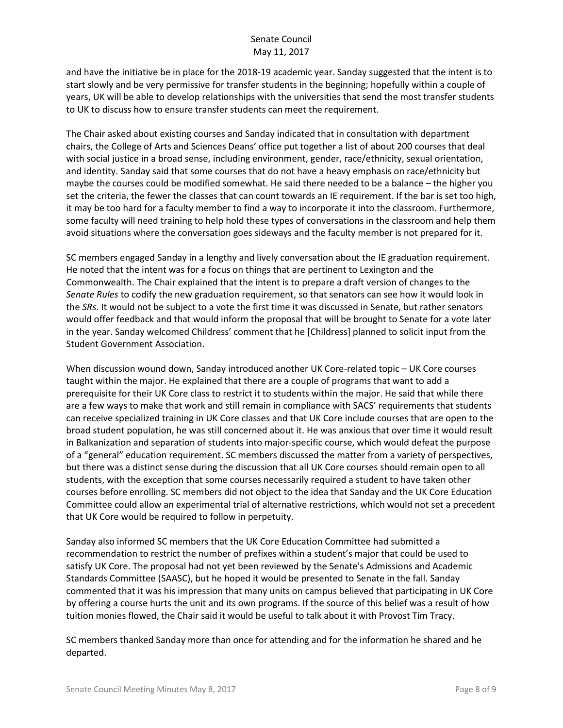and have the initiative be in place for the 2018-19 academic year. Sanday suggested that the intent is to start slowly and be very permissive for transfer students in the beginning; hopefully within a couple of years, UK will be able to develop relationships with the universities that send the most transfer students to UK to discuss how to ensure transfer students can meet the requirement.

The Chair asked about existing courses and Sanday indicated that in consultation with department chairs, the College of Arts and Sciences Deans' office put together a list of about 200 courses that deal with social justice in a broad sense, including environment, gender, race/ethnicity, sexual orientation, and identity. Sanday said that some courses that do not have a heavy emphasis on race/ethnicity but maybe the courses could be modified somewhat. He said there needed to be a balance – the higher you set the criteria, the fewer the classes that can count towards an IE requirement. If the bar is set too high, it may be too hard for a faculty member to find a way to incorporate it into the classroom. Furthermore, some faculty will need training to help hold these types of conversations in the classroom and help them avoid situations where the conversation goes sideways and the faculty member is not prepared for it.

SC members engaged Sanday in a lengthy and lively conversation about the IE graduation requirement. He noted that the intent was for a focus on things that are pertinent to Lexington and the Commonwealth. The Chair explained that the intent is to prepare a draft version of changes to the *Senate Rules* to codify the new graduation requirement, so that senators can see how it would look in the *SRs*. It would not be subject to a vote the first time it was discussed in Senate, but rather senators would offer feedback and that would inform the proposal that will be brought to Senate for a vote later in the year. Sanday welcomed Childress' comment that he [Childress] planned to solicit input from the Student Government Association.

When discussion wound down, Sanday introduced another UK Core-related topic – UK Core courses taught within the major. He explained that there are a couple of programs that want to add a prerequisite for their UK Core class to restrict it to students within the major. He said that while there are a few ways to make that work and still remain in compliance with SACS' requirements that students can receive specialized training in UK Core classes and that UK Core include courses that are open to the broad student population, he was still concerned about it. He was anxious that over time it would result in Balkanization and separation of students into major-specific course, which would defeat the purpose of a "general" education requirement. SC members discussed the matter from a variety of perspectives, but there was a distinct sense during the discussion that all UK Core courses should remain open to all students, with the exception that some courses necessarily required a student to have taken other courses before enrolling. SC members did not object to the idea that Sanday and the UK Core Education Committee could allow an experimental trial of alternative restrictions, which would not set a precedent that UK Core would be required to follow in perpetuity.

Sanday also informed SC members that the UK Core Education Committee had submitted a recommendation to restrict the number of prefixes within a student's major that could be used to satisfy UK Core. The proposal had not yet been reviewed by the Senate's Admissions and Academic Standards Committee (SAASC), but he hoped it would be presented to Senate in the fall. Sanday commented that it was his impression that many units on campus believed that participating in UK Core by offering a course hurts the unit and its own programs. If the source of this belief was a result of how tuition monies flowed, the Chair said it would be useful to talk about it with Provost Tim Tracy.

SC members thanked Sanday more than once for attending and for the information he shared and he departed.